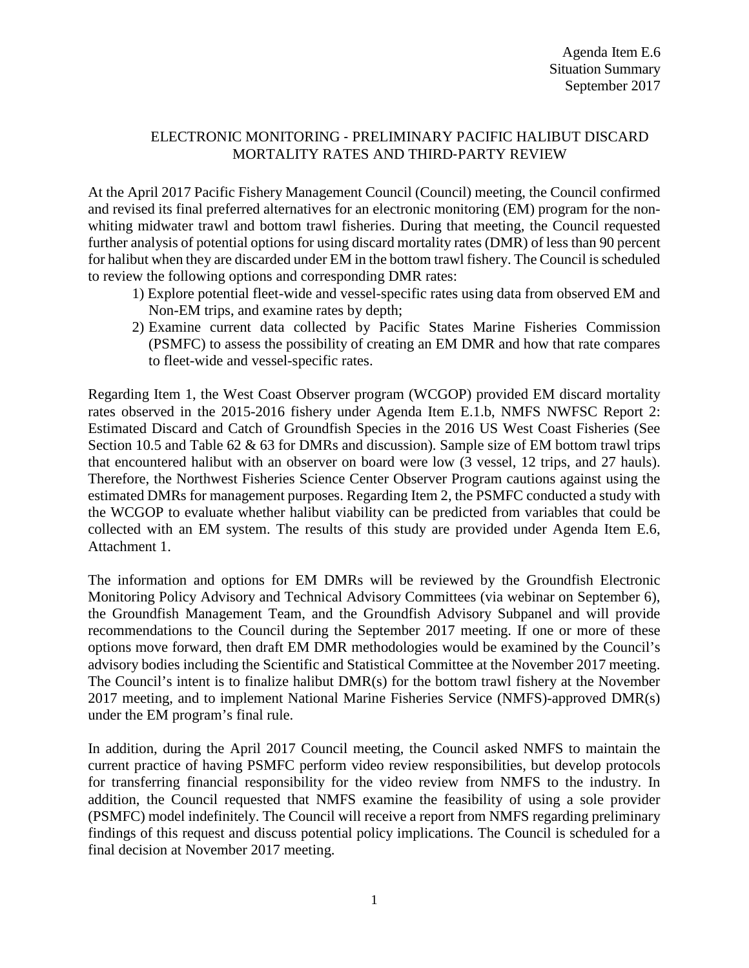## ELECTRONIC MONITORING ‐ PRELIMINARY PACIFIC HALIBUT DISCARD MORTALITY RATES AND THIRD‐PARTY REVIEW

At the April 2017 Pacific Fishery Management Council (Council) meeting, the Council confirmed and revised its final preferred alternatives for an electronic monitoring (EM) program for the nonwhiting midwater trawl and bottom trawl fisheries. During that meeting, the Council requested further analysis of potential options for using discard mortality rates (DMR) of less than 90 percent for halibut when they are discarded under EM in the bottom trawl fishery. The Council is scheduled to review the following options and corresponding DMR rates:

- 1) Explore potential fleet-wide and vessel-specific rates using data from observed EM and Non-EM trips, and examine rates by depth;
- 2) Examine current data collected by Pacific States Marine Fisheries Commission (PSMFC) to assess the possibility of creating an EM DMR and how that rate compares to fleet-wide and vessel-specific rates.

Regarding Item 1, the West Coast Observer program (WCGOP) provided EM discard mortality rates observed in the 2015-2016 fishery under Agenda Item E.1.b, NMFS NWFSC Report 2: Estimated Discard and Catch of Groundfish Species in the 2016 US West Coast Fisheries (See Section 10.5 and Table 62 & 63 for DMRs and discussion). Sample size of EM bottom trawl trips that encountered halibut with an observer on board were low (3 vessel, 12 trips, and 27 hauls). Therefore, the Northwest Fisheries Science Center Observer Program cautions against using the estimated DMRs for management purposes. Regarding Item 2, the PSMFC conducted a study with the WCGOP to evaluate whether halibut viability can be predicted from variables that could be collected with an EM system. The results of this study are provided under Agenda Item E.6, Attachment 1.

The information and options for EM DMRs will be reviewed by the Groundfish Electronic Monitoring Policy Advisory and Technical Advisory Committees (via webinar on September 6), the Groundfish Management Team, and the Groundfish Advisory Subpanel and will provide recommendations to the Council during the September 2017 meeting. If one or more of these options move forward, then draft EM DMR methodologies would be examined by the Council's advisory bodies including the Scientific and Statistical Committee at the November 2017 meeting. The Council's intent is to finalize halibut DMR(s) for the bottom trawl fishery at the November 2017 meeting, and to implement National Marine Fisheries Service (NMFS)-approved DMR(s) under the EM program's final rule.

In addition, during the April 2017 Council meeting, the Council asked NMFS to maintain the current practice of having PSMFC perform video review responsibilities, but develop protocols for transferring financial responsibility for the video review from NMFS to the industry. In addition, the Council requested that NMFS examine the feasibility of using a sole provider (PSMFC) model indefinitely. The Council will receive a report from NMFS regarding preliminary findings of this request and discuss potential policy implications. The Council is scheduled for a final decision at November 2017 meeting.